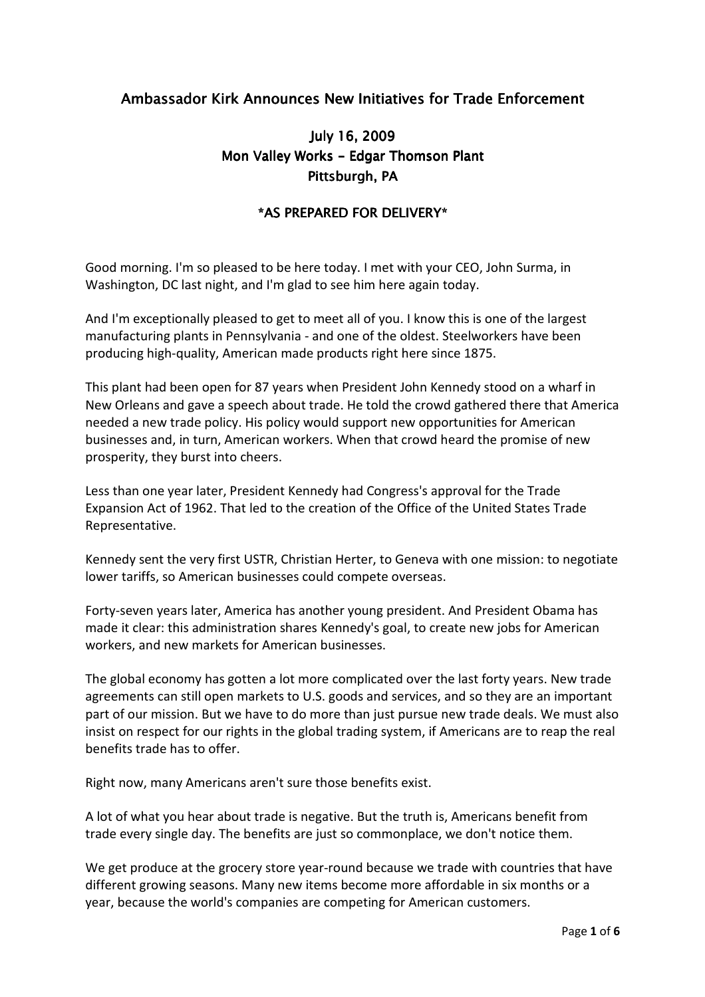## Ambassador Kirk Announces New Initiatives for Trade Enforcement

## July 16, 2009 Mon Valley Works - Edgar Thomson Plant Pittsburgh, PA

## \*AS PREPARED FOR DELIVERY\* PREPARED FOR DELIVERY\*

Good morning. I'm so pleased to be here today. I met with your CEO, John Surma, in Washington, DC last night, and I'm glad to see him here again today.

And I'm exceptionally pleased to get to meet all of you. I know this is one of the largest manufacturing plants in Pennsylvania - and one of the oldest. Steelworkers have been producing high-quality, American made products right here since 1875.

This plant had been open for 87 years when President John Kennedy stood on a wharf in New Orleans and gave a speech about trade. He told the crowd gathered there that America needed a new trade policy. His policy would support new opportunities for American businesses and, in turn, American workers. When that crowd heard the promise of new prosperity, they burst into cheers.

Less than one year later, President Kennedy had Congress's approval for the Trade Expansion Act of 1962. That led to the creation of the Office of the United States Trade Representative.

Kennedy sent the very first USTR, Christian Herter, to Geneva with one mission: to negotiate lower tariffs, so American businesses could compete overseas.

Forty-seven years later, America has another young president. And President Obama has made it clear: this administration shares Kennedy's goal, to create new jobs for American workers, and new markets for American businesses.

The global economy has gotten a lot more complicated over the last forty years. New trade agreements can still open markets to U.S. goods and services, and so they are an important part of our mission. But we have to do more than just pursue new trade deals. We must also insist on respect for our rights in the global trading system, if Americans are to reap the real benefits trade has to offer.

Right now, many Americans aren't sure those benefits exist.

A lot of what you hear about trade is negative. But the truth is, Americans benefit from trade every single day. The benefits are just so commonplace, we don't notice them.

We get produce at the grocery store year-round because we trade with countries that have different growing seasons. Many new items become more affordable in six months or a year, because the world's companies are competing for American customers.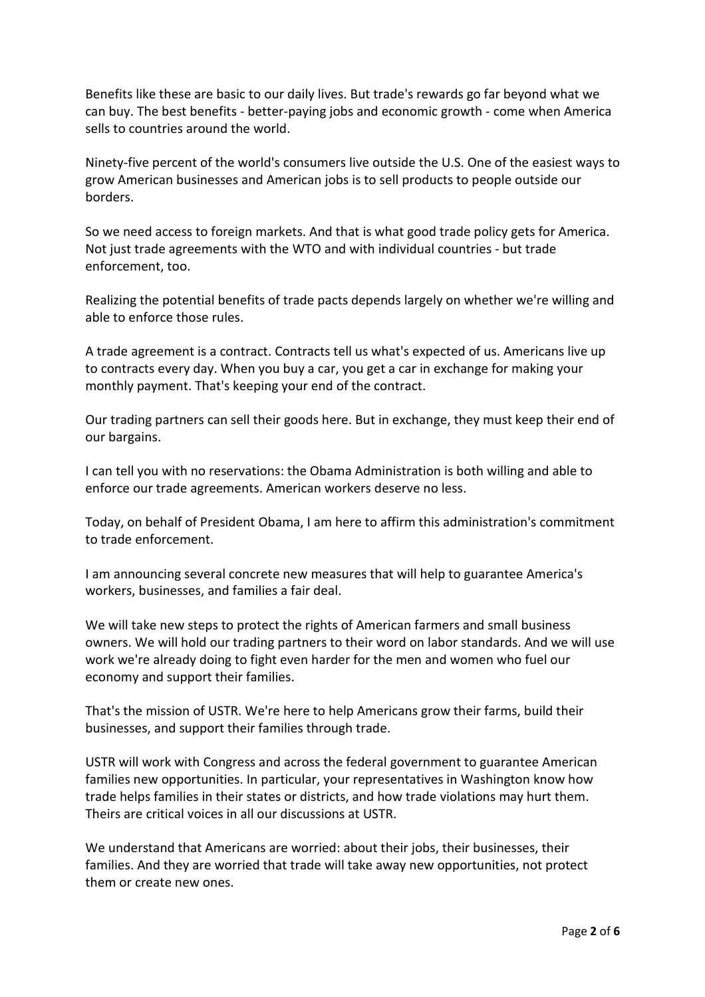Benefits like these are basic to our daily lives. But trade's rewards go far beyond what we can buy. The best benefits - better-paying jobs and economic growth - come when America sells to countries around the world.

Ninety-five percent of the world's consumers live outside the U.S. One of the easiest ways to grow American businesses and American jobs is to sell products to people outside our borders.

So we need access to foreign markets. And that is what good trade policy gets for America. Not just trade agreements with the WTO and with individual countries - but trade enforcement, too.

Realizing the potential benefits of trade pacts depends largely on whether we're willing and able to enforce those rules.

A trade agreement is a contract. Contracts tell us what's expected of us. Americans live up to contracts every day. When you buy a car, you get a car in exchange for making your monthly payment. That's keeping your end of the contract.

Our trading partners can sell their goods here. But in exchange, they must keep their end of our bargains.

I can tell you with no reservations: the Obama Administration is both willing and able to enforce our trade agreements. American workers deserve no less.

Today, on behalf of President Obama, I am here to affirm this administration's commitment to trade enforcement.

I am announcing several concrete new measures that will help to guarantee America's workers, businesses, and families a fair deal.

We will take new steps to protect the rights of American farmers and small business owners. We will hold our trading partners to their word on labor standards. And we will use work we're already doing to fight even harder for the men and women who fuel our economy and support their families.

That's the mission of USTR. We're here to help Americans grow their farms, build their businesses, and support their families through trade.

USTR will work with Congress and across the federal government to guarantee American families new opportunities. In particular, your representatives in Washington know how trade helps families in their states or districts, and how trade violations may hurt them. Theirs are critical voices in all our discussions at USTR.

We understand that Americans are worried: about their jobs, their businesses, their families. And they are worried that trade will take away new opportunities, not protect them or create new ones.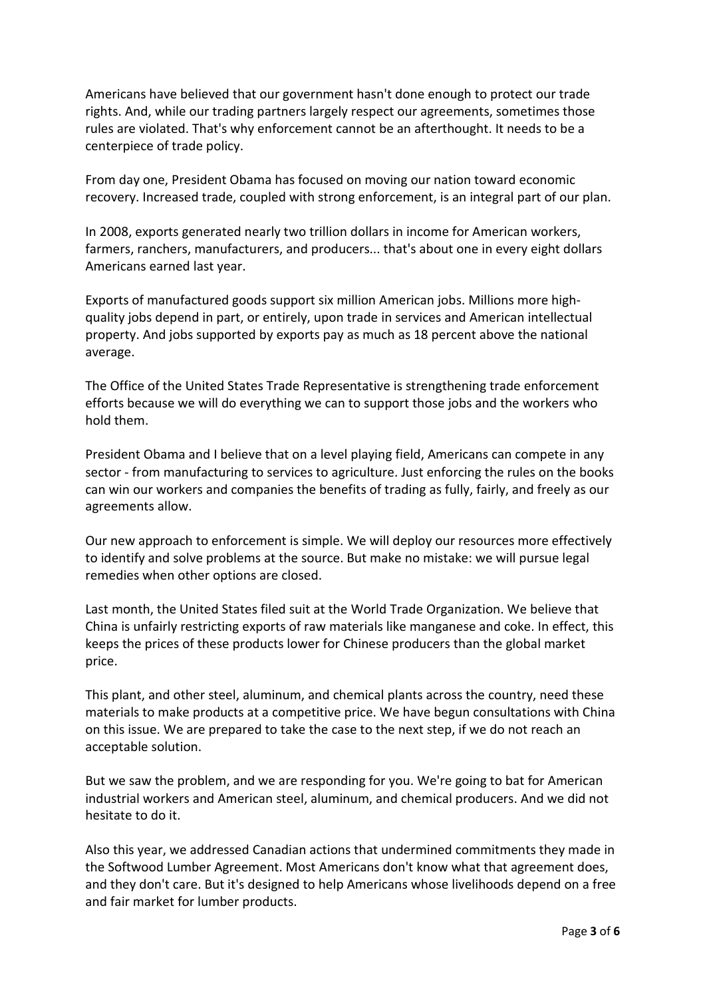Americans have believed that our government hasn't done enough to protect our trade rights. And, while our trading partners largely respect our agreements, sometimes those rules are violated. That's why enforcement cannot be an afterthought. It needs to be a centerpiece of trade policy.

From day one, President Obama has focused on moving our nation toward economic recovery. Increased trade, coupled with strong enforcement, is an integral part of our plan.

In 2008, exports generated nearly two trillion dollars in income for American workers, farmers, ranchers, manufacturers, and producers... that's about one in every eight dollars Americans earned last year.

Exports of manufactured goods support six million American jobs. Millions more highquality jobs depend in part, or entirely, upon trade in services and American intellectual property. And jobs supported by exports pay as much as 18 percent above the national average.

The Office of the United States Trade Representative is strengthening trade enforcement efforts because we will do everything we can to support those jobs and the workers who hold them.

President Obama and I believe that on a level playing field, Americans can compete in any sector - from manufacturing to services to agriculture. Just enforcing the rules on the books can win our workers and companies the benefits of trading as fully, fairly, and freely as our agreements allow.

Our new approach to enforcement is simple. We will deploy our resources more effectively to identify and solve problems at the source. But make no mistake: we will pursue legal remedies when other options are closed.

Last month, the United States filed suit at the World Trade Organization. We believe that China is unfairly restricting exports of raw materials like manganese and coke. In effect, this keeps the prices of these products lower for Chinese producers than the global market price.

This plant, and other steel, aluminum, and chemical plants across the country, need these materials to make products at a competitive price. We have begun consultations with China on this issue. We are prepared to take the case to the next step, if we do not reach an acceptable solution.

But we saw the problem, and we are responding for you. We're going to bat for American industrial workers and American steel, aluminum, and chemical producers. And we did not hesitate to do it.

Also this year, we addressed Canadian actions that undermined commitments they made in the Softwood Lumber Agreement. Most Americans don't know what that agreement does, and they don't care. But it's designed to help Americans whose livelihoods depend on a free and fair market for lumber products.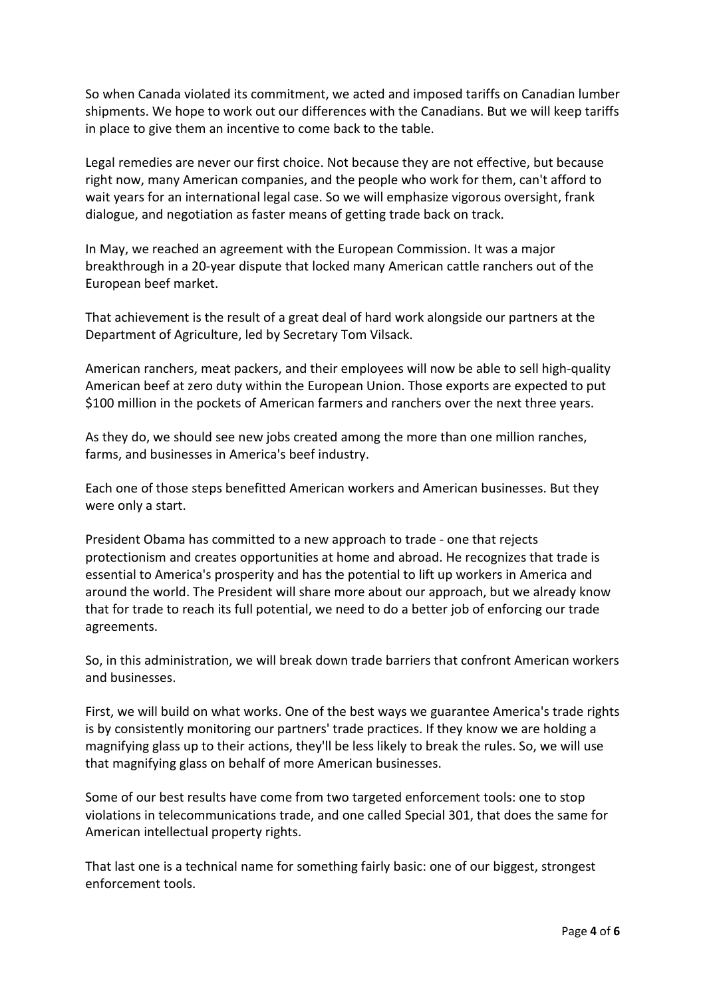So when Canada violated its commitment, we acted and imposed tariffs on Canadian lumber shipments. We hope to work out our differences with the Canadians. But we will keep tariffs in place to give them an incentive to come back to the table.

Legal remedies are never our first choice. Not because they are not effective, but because right now, many American companies, and the people who work for them, can't afford to wait years for an international legal case. So we will emphasize vigorous oversight, frank dialogue, and negotiation as faster means of getting trade back on track.

In May, we reached an agreement with the European Commission. It was a major breakthrough in a 20-year dispute that locked many American cattle ranchers out of the European beef market.

That achievement is the result of a great deal of hard work alongside our partners at the Department of Agriculture, led by Secretary Tom Vilsack.

American ranchers, meat packers, and their employees will now be able to sell high-quality American beef at zero duty within the European Union. Those exports are expected to put \$100 million in the pockets of American farmers and ranchers over the next three years.

As they do, we should see new jobs created among the more than one million ranches, farms, and businesses in America's beef industry.

Each one of those steps benefitted American workers and American businesses. But they were only a start.

President Obama has committed to a new approach to trade - one that rejects protectionism and creates opportunities at home and abroad. He recognizes that trade is essential to America's prosperity and has the potential to lift up workers in America and around the world. The President will share more about our approach, but we already know that for trade to reach its full potential, we need to do a better job of enforcing our trade agreements.

So, in this administration, we will break down trade barriers that confront American workers and businesses.

First, we will build on what works. One of the best ways we guarantee America's trade rights is by consistently monitoring our partners' trade practices. If they know we are holding a magnifying glass up to their actions, they'll be less likely to break the rules. So, we will use that magnifying glass on behalf of more American businesses.

Some of our best results have come from two targeted enforcement tools: one to stop violations in telecommunications trade, and one called Special 301, that does the same for American intellectual property rights.

That last one is a technical name for something fairly basic: one of our biggest, strongest enforcement tools.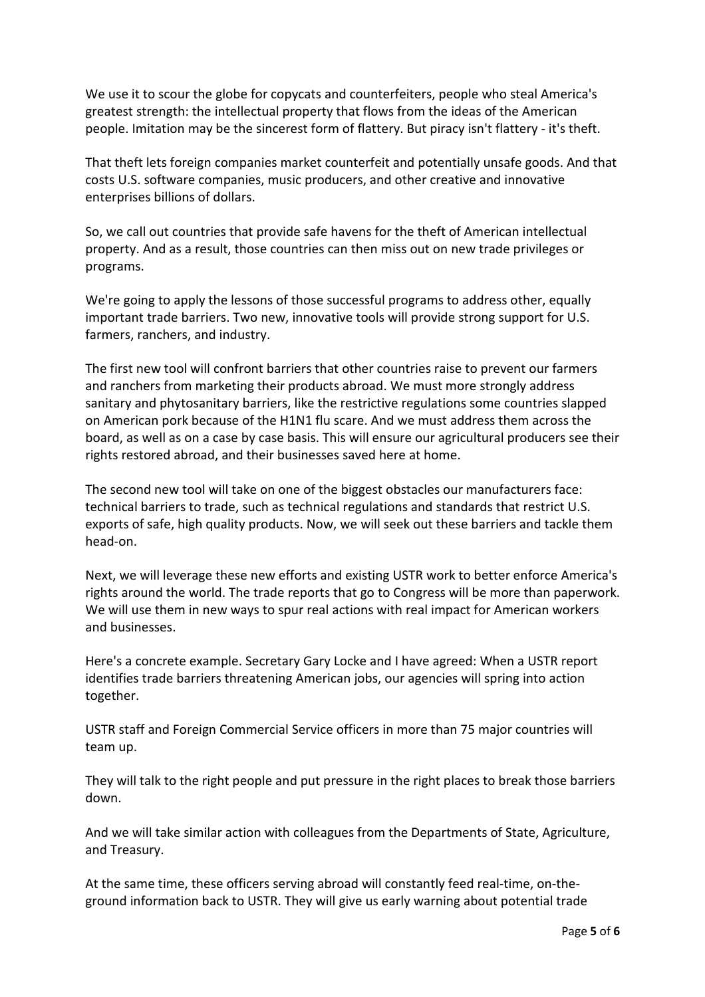We use it to scour the globe for copycats and counterfeiters, people who steal America's greatest strength: the intellectual property that flows from the ideas of the American people. Imitation may be the sincerest form of flattery. But piracy isn't flattery - it's theft.

That theft lets foreign companies market counterfeit and potentially unsafe goods. And that costs U.S. software companies, music producers, and other creative and innovative enterprises billions of dollars.

So, we call out countries that provide safe havens for the theft of American intellectual property. And as a result, those countries can then miss out on new trade privileges or programs.

We're going to apply the lessons of those successful programs to address other, equally important trade barriers. Two new, innovative tools will provide strong support for U.S. farmers, ranchers, and industry.

The first new tool will confront barriers that other countries raise to prevent our farmers and ranchers from marketing their products abroad. We must more strongly address sanitary and phytosanitary barriers, like the restrictive regulations some countries slapped on American pork because of the H1N1 flu scare. And we must address them across the board, as well as on a case by case basis. This will ensure our agricultural producers see their rights restored abroad, and their businesses saved here at home.

The second new tool will take on one of the biggest obstacles our manufacturers face: technical barriers to trade, such as technical regulations and standards that restrict U.S. exports of safe, high quality products. Now, we will seek out these barriers and tackle them head-on.

Next, we will leverage these new efforts and existing USTR work to better enforce America's rights around the world. The trade reports that go to Congress will be more than paperwork. We will use them in new ways to spur real actions with real impact for American workers and businesses.

Here's a concrete example. Secretary Gary Locke and I have agreed: When a USTR report identifies trade barriers threatening American jobs, our agencies will spring into action together.

USTR staff and Foreign Commercial Service officers in more than 75 major countries will team up.

They will talk to the right people and put pressure in the right places to break those barriers down.

And we will take similar action with colleagues from the Departments of State, Agriculture, and Treasury.

At the same time, these officers serving abroad will constantly feed real-time, on-theground information back to USTR. They will give us early warning about potential trade